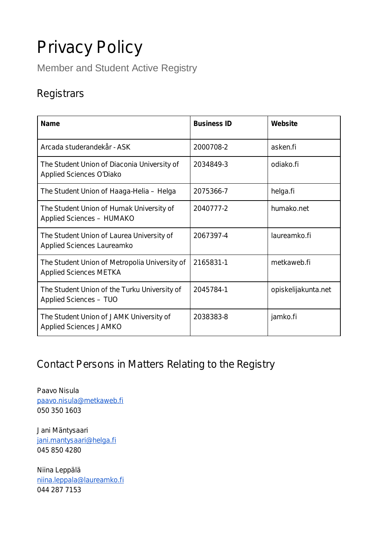# Privacy Policy

Member and Student Active Registry

# **Registrars**

| Name                                                                           | <b>Business ID</b> | Website             |
|--------------------------------------------------------------------------------|--------------------|---------------------|
| Arcada studerandekår - ASK                                                     | 2000708-2          | asken.fi            |
| The Student Union of Diaconia University of<br>Applied Sciences O'Diako        | 2034849-3          | odiako fi           |
| The Student Union of Haaga-Helia - Helga                                       | 2075366-7          | helga.fi            |
| The Student Union of Humak University of<br>Applied Sciences - HUMAKO          | 2040777-2          | humako.net          |
| The Student Union of Laurea University of<br>Applied Sciences Laureamko        | 2067397-4          | laureamko.fi        |
| The Student Union of Metropolia University of<br><b>Applied Sciences METKA</b> | 2165831-1          | metkaweb.fi         |
| The Student Union of the Turku University of<br>Applied Sciences - TUO         | 2045784-1          | opiskelijakunta.net |
| The Student Union of JAMK University of<br>Applied Sciences JAMKO              | 2038383-8          | jamko.fi            |

# Contact Persons in Matters Relating to the Registry

Paavo Nisula [paavo.nisula@metkaweb.fi](mailto:paavo.nisula@metkaweb.fi) 050 350 1603

Jani Mäntysaari [jani.mantysaari@helga.fi](mailto:jani.mantysaari@helga.fi) 045 850 4280

Niina Leppälä [niina.leppala@laureamko.fi](mailto:niina.leppala@laureamko.fi) 044 287 7153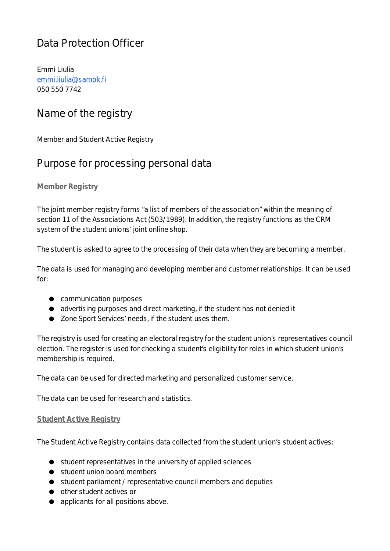# Data Protection Officer

Emmi Liulia [emmi.liulia@samok.fi](mailto:emmi.liulia@samok.fi) 050 550 7742

### Name of the registry

Member and Student Active Registry

### Purpose for processing personal data

### **Member Registry**

The joint member registry forms "a list of members of the association" within the meaning of section 11 of the Associations Act (503/1989). In addition, the registry functions as the CRM system of the student unions' joint online shop.

The student is asked to agree to the processing of their data when they are becoming a member.

The data is used for managing and developing member and customer relationships. It can be used for:

- communication purposes
- advertising purposes and direct marketing, if the student has not denied it
- Zone Sport Services' needs, if the student uses them.

The registry is used for creating an electoral registry for the student union's representatives council election. The register is used for checking a student's eligibility for roles in which student union's membership is required.

The data can be used for directed marketing and personalized customer service.

The data can be used for research and statistics.

#### **Student Active Registry**

The Student Active Registry contains data collected from the student union's student actives:

- student representatives in the university of applied sciences
- student union board members
- student parliament / representative council members and deputies
- other student actives or
- applicants for all positions above.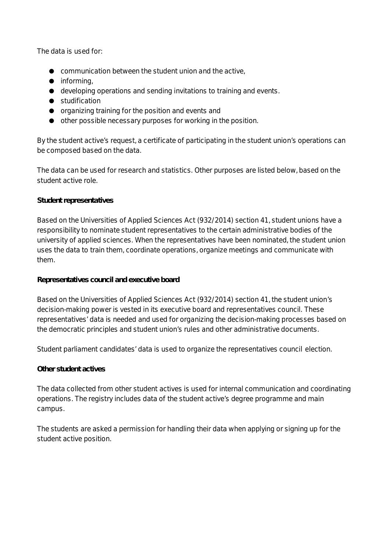The data is used for:

- communication between the student union and the active,
- informing,
- developing operations and sending invitations to training and events.
- studification
- organizing training for the position and events and
- other possible necessary purposes for working in the position.

By the student active's request, a certificate of participating in the student union's operations can be composed based on the data.

The data can be used for research and statistics. Other purposes are listed below, based on the student active role.

#### *Student representatives*

Based on the Universities of Applied Sciences Act (932/2014) section 41, student unions have a responsibility to nominate student representatives to the certain administrative bodies of the university of applied sciences. When the representatives have been nominated, the student union uses the data to train them, coordinate operations, organize meetings and communicate with them.

#### *Representatives council and executive board*

Based on the Universities of Applied Sciences Act (932/2014) section 41, the student union's decision-making power is vested in its executive board and representatives council. These representatives' data is needed and used for organizing the decision-making processes based on the democratic principles and student union's rules and other administrative documents.

Student parliament candidates' data is used to organize the representatives council election.

#### *Other student actives*

The data collected from other student actives is used for internal communication and coordinating operations. The registry includes data of the student active's degree programme and main campus.

The students are asked a permission for handling their data when applying or signing up for the student active position.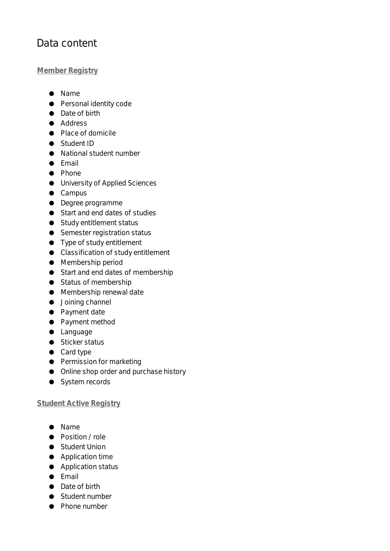# Data content

### **Member Registry**

- Name
- Personal identity code
- Date of birth
- Address
- Place of domicile
- Student ID
- National student number
- Email
- Phone
- University of Applied Sciences
- Campus
- Degree programme
- Start and end dates of studies
- Study entitlement status
- Semester registration status
- Type of study entitlement
- Classification of study entitlement
- Membership period
- Start and end dates of membership
- Status of membership
- Membership renewal date
- Joining channel
- Payment date
- Payment method
- Language
- Sticker status
- Card type
- Permission for marketing
- Online shop order and purchase history
- System records

#### **Student Active Registry**

- Name
- Position / role
- Student Union
- Application time
- Application status
- Email
- Date of birth
- Student number
- Phone number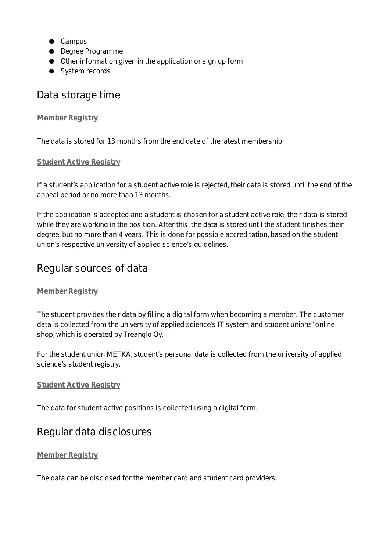- Campus
- Degree Programme
- Other information given in the application or sign up form
- System records

### Data storage time

### **Member Registry**

The data is stored for 13 months from the end date of the latest membership.

### **Student Active Registry**

If a student's application for a student active role is rejected, their data is stored until the end of the appeal period or no more than 13 months.

If the application is accepted and a student is chosen for a student active role, their data is stored while they are working in the position. After this, the data is stored until the student finishes their degree, but no more than 4 years. This is done for possible accreditation, based on the student union's respective university of applied science's guidelines.

### Regular sources of data

### **Member Registry**

The student provides their data by filling a digital form when becoming a member. The customer data is collected from the university of applied science's IT system and student unions' online shop, which is operated by Treanglo Oy.

For the student union METKA, student's personal data is collected from the university of applied science's student registry.

#### **Student Active Registry**

The data for student active positions is collected using a digital form.

### Regular data disclosures

### **Member Registry**

The data can be disclosed for the member card and student card providers.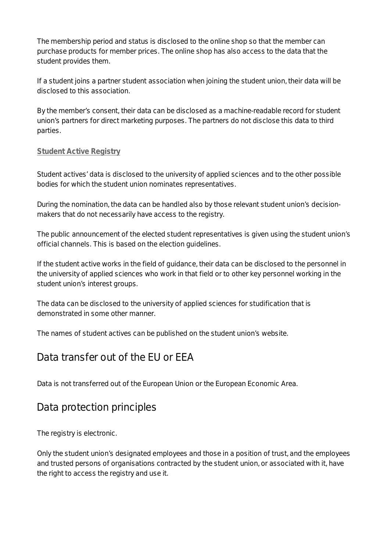The membership period and status is disclosed to the online shop so that the member can purchase products for member prices. The online shop has also access to the data that the student provides them.

If a student joins a partner student association when joining the student union, their data will be disclosed to this association.

By the member's consent, their data can be disclosed as a machine-readable record for student union's partners for direct marketing purposes. The partners do not disclose this data to third parties.

### **Student Active Registry**

Student actives' data is disclosed to the university of applied sciences and to the other possible bodies for which the student union nominates representatives.

During the nomination, the data can be handled also by those relevant student union's decisionmakers that do not necessarily have access to the registry.

The public announcement of the elected student representatives is given using the student union's official channels. This is based on the election guidelines.

If the student active works in the field of guidance, their data can be disclosed to the personnel in the university of applied sciences who work in that field or to other key personnel working in the student union's interest groups.

The data can be disclosed to the university of applied sciences for studification that is demonstrated in some other manner.

The names of student actives can be published on the student union's website.

### Data transfer out of the EU or EEA

Data is not transferred out of the European Union or the European Economic Area.

### Data protection principles

The registry is electronic.

Only the student union's designated employees and those in a position of trust, and the employees and trusted persons of organisations contracted by the student union, or associated with it, have the right to access the registry and use it.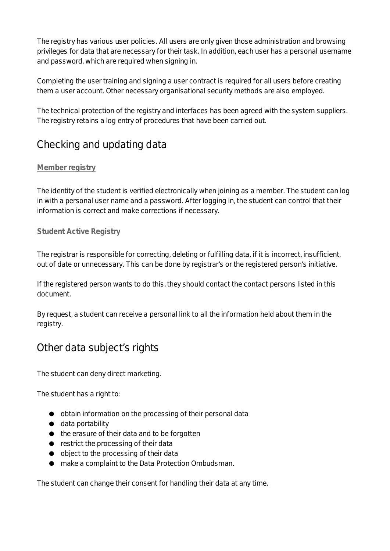The registry has various user policies. All users are only given those administration and browsing privileges for data that are necessary for their task. In addition, each user has a personal username and password, which are required when signing in.

Completing the user training and signing a user contract is required for all users before creating them a user account. Other necessary organisational security methods are also employed.

The technical protection of the registry and interfaces has been agreed with the system suppliers. The registry retains a log entry of procedures that have been carried out.

# Checking and updating data

### **Member registry**

The identity of the student is verified electronically when joining as a member. The student can log in with a personal user name and a password. After logging in, the student can control that their information is correct and make corrections if necessary.

### **Student Active Registry**

The registrar is responsible for correcting, deleting or fulfilling data, if it is incorrect, insufficient, out of date or unnecessary. This can be done by registrar's or the registered person's initiative.

If the registered person wants to do this, they should contact the contact persons listed in this document.

By request, a student can receive a personal link to all the information held about them in the registry.

## Other data subject's rights

The student can deny direct marketing.

The student has a right to:

- obtain information on the processing of their personal data
- data portability
- the erasure of their data and to be forgotten
- restrict the processing of their data
- object to the processing of their data
- make a complaint to the Data Protection Ombudsman.

The student can change their consent for handling their data at any time.